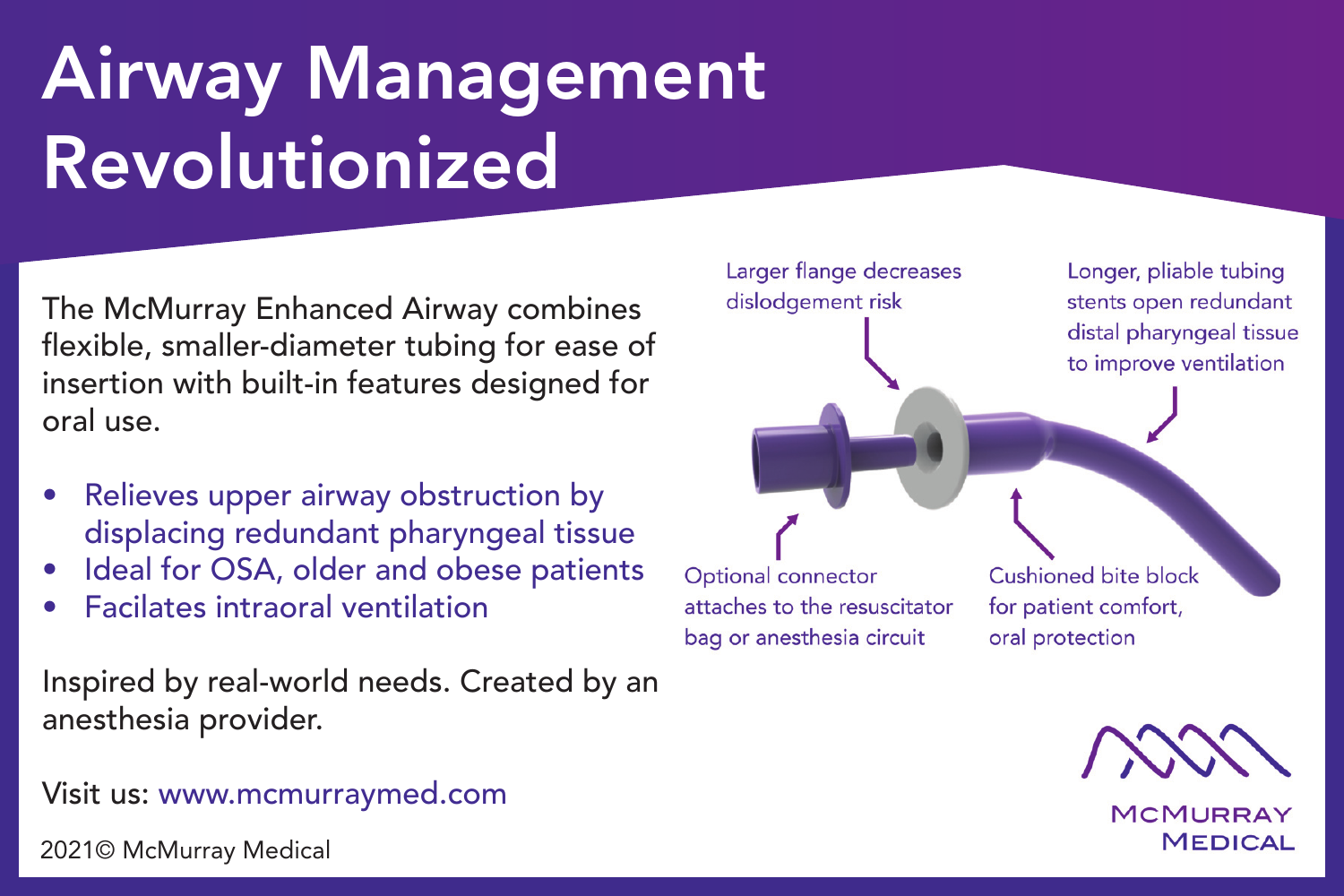## Airway Management Revolutionized

The McMurray Enhanced Airway combines flexible, smaller-diameter tubing for ease of insertion with built-in features designed for oral use.

- Relieves upper airway obstruction by displacing redundant pharyngeal tissue
- Ideal for OSA, older and obese patients
- **Facilates intraoral ventilation**

Inspired by real-world needs. Created by an anesthesia provider.

Visit us: www.mcmurraymed.com

2021© McMurray Medical



**MCMURRAY MEDICAL**